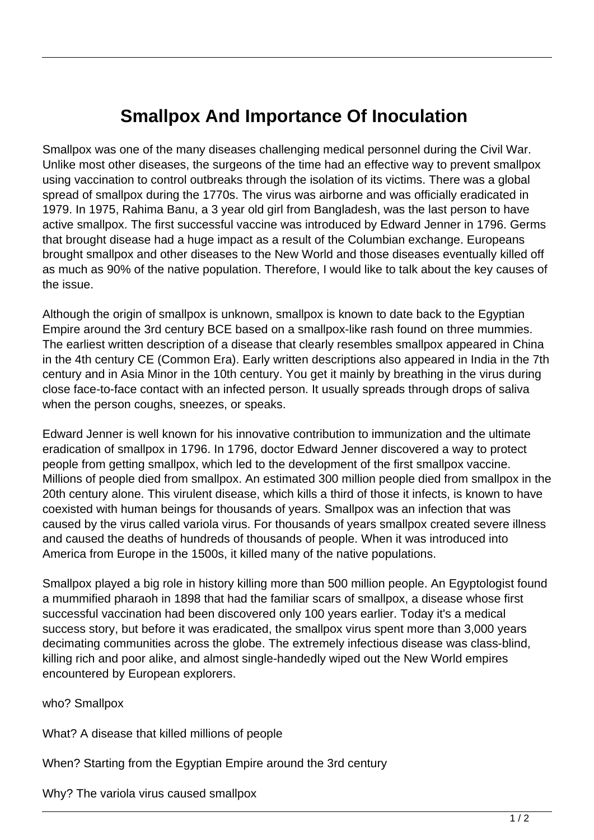## **Smallpox And Importance Of Inoculation**

Smallpox was one of the many diseases challenging medical personnel during the Civil War. Unlike most other diseases, the surgeons of the time had an effective way to prevent smallpox using vaccination to control outbreaks through the isolation of its victims. There was a global spread of smallpox during the 1770s. The virus was airborne and was officially eradicated in 1979. In 1975, Rahima Banu, a 3 year old girl from Bangladesh, was the last person to have active smallpox. The first successful vaccine was introduced by Edward Jenner in 1796. Germs that brought disease had a huge impact as a result of the Columbian exchange. Europeans brought smallpox and other diseases to the New World and those diseases eventually killed off as much as 90% of the native population. Therefore, I would like to talk about the key causes of the issue.

Although the origin of smallpox is unknown, smallpox is known to date back to the Egyptian Empire around the 3rd century BCE based on a smallpox-like rash found on three mummies. The earliest written description of a disease that clearly resembles smallpox appeared in China in the 4th century CE (Common Era). Early written descriptions also appeared in India in the 7th century and in Asia Minor in the 10th century. You get it mainly by breathing in the virus during close face-to-face contact with an infected person. It usually spreads through drops of saliva when the person coughs, sneezes, or speaks.

Edward Jenner is well known for his innovative contribution to immunization and the ultimate eradication of smallpox in 1796. In 1796, doctor Edward Jenner discovered a way to protect people from getting smallpox, which led to the development of the first smallpox vaccine. Millions of people died from smallpox. An estimated 300 million people died from smallpox in the 20th century alone. This virulent disease, which kills a third of those it infects, is known to have coexisted with human beings for thousands of years. Smallpox was an infection that was caused by the virus called variola virus. For thousands of years smallpox created severe illness and caused the deaths of hundreds of thousands of people. When it was introduced into America from Europe in the 1500s, it killed many of the native populations.

Smallpox played a big role in history killing more than 500 million people. An Egyptologist found a mummified pharaoh in 1898 that had the familiar scars of smallpox, a disease whose first successful vaccination had been discovered only 100 years earlier. Today it's a medical success story, but before it was eradicated, the smallpox virus spent more than 3,000 years decimating communities across the globe. The extremely infectious disease was class-blind, killing rich and poor alike, and almost single-handedly wiped out the New World empires encountered by European explorers.

who? Smallpox

What? A disease that killed millions of people

When? Starting from the Egyptian Empire around the 3rd century

Why? The variola virus caused smallpox